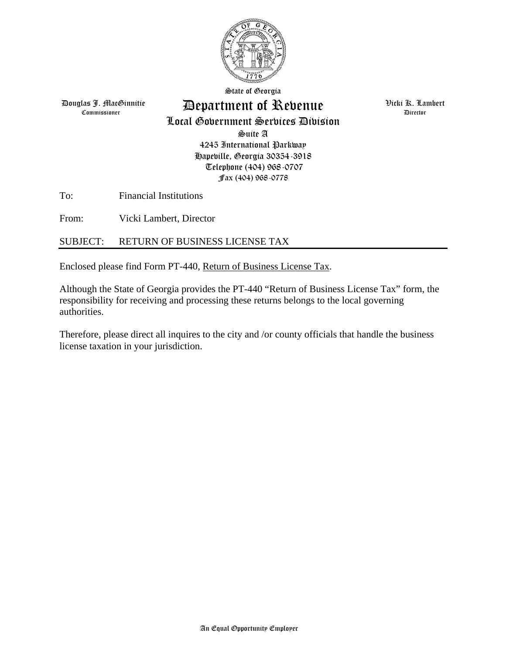

State of Georgia

Douglas J. MacGinnitie Commissioner

## Department of Revenue

Local Government Services Division

Suite A 4245 International Parkway Hapeville, Georgia 30354-3918 Telephone (404) 968-0707 Fax (404) 968-0778

To: Financial Institutions

From: Vicki Lambert, Director

### SUBJECT: RETURN OF BUSINESS LICENSE TAX

Enclosed please find Form PT-440, Return of Business License Tax.

Although the State of Georgia provides the PT-440 "Return of Business License Tax" form, the responsibility for receiving and processing these returns belongs to the local governing authorities.

Therefore, please direct all inquires to the city and /or county officials that handle the business license taxation in your jurisdiction.

 Vicki K. Lambert Director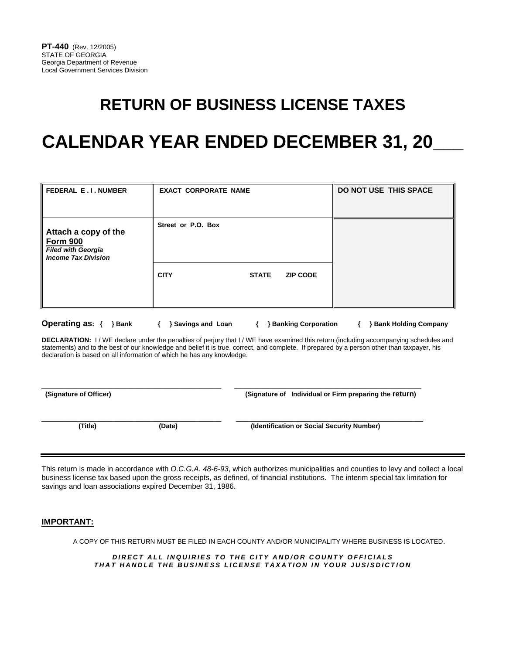# **RETURN OF BUSINESS LICENSE TAXES**

# **CALENDAR YEAR ENDED DECEMBER 31, 20\_\_\_**

| <b>FEDERAL E.I. NUMBER</b>                                                                         | <b>EXACT CORPORATE NAME</b> |              |                 | DO NOT USE THIS SPACE |
|----------------------------------------------------------------------------------------------------|-----------------------------|--------------|-----------------|-----------------------|
| Attach a copy of the<br><b>Form 900</b><br><b>Filed with Georgia</b><br><b>Income Tax Division</b> | Street or P.O. Box          |              |                 |                       |
|                                                                                                    | <b>CITY</b>                 | <b>STATE</b> | <b>ZIP CODE</b> |                       |

**Operating as: { } Bank { } Savings and Loan { } Banking Corporation { } Bank Holding Company** 

**DECLARATION:** I / WE declare under the penalties of perjury that I / WE have examined this return (including accompanying schedules and statements) and to the best of our knowledge and belief it is true, correct, and complete. If prepared by a person other than taxpayer, his declaration is based on all information of which he has any knowledge.

\_\_\_\_\_\_\_\_\_\_\_\_\_\_\_\_\_\_\_\_\_\_\_\_\_\_\_\_\_\_\_\_\_\_\_\_\_\_\_\_\_\_\_\_\_\_\_\_\_ \_\_\_\_\_\_\_\_\_\_\_\_\_\_\_\_\_\_\_\_\_\_\_\_\_\_\_\_\_\_\_\_\_\_\_\_\_\_\_\_\_\_\_\_\_\_\_\_\_\_\_

 **(Signature of Officer) (Signature of Individual or Firm preparing the return)**

\_\_\_\_\_\_\_\_\_\_\_\_\_\_\_\_\_\_\_\_\_\_\_\_\_\_\_\_\_\_\_\_\_\_\_\_\_\_\_\_\_\_\_\_\_\_\_\_\_ \_\_\_\_\_\_\_\_\_\_\_\_\_\_\_\_\_\_\_\_\_\_\_\_\_\_\_\_\_\_\_\_\_\_\_\_\_\_\_\_\_\_\_\_\_\_\_\_\_\_\_

**(Title) (Date) (Identification or Social Security Number)**

This return is made in accordance with *O.C.G.A. 48-6-93*, which authorizes municipalities and counties to levy and collect a local business license tax based upon the gross receipts, as defined, of financial institutions. The interim special tax limitation for savings and loan associations expired December 31, 1986.

### **IMPORTANT:**

A COPY OF THIS RETURN MUST BE FILED IN EACH COUNTY AND/OR MUNICIPALITY WHERE BUSINESS IS LOCATED.

*DIRECT ALL INQUIRIES TO THE CITY AND/OR COUNTY OFFICIALS THAT HANDLE THE BUSINESS LICENSE TAXATION IN YOUR JUSISDICTION*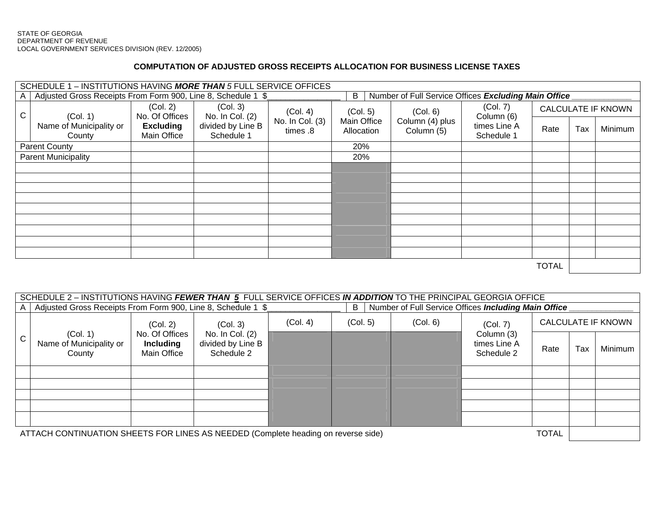### **COMPUTATION OF ADJUSTED GROSS RECEIPTS ALLOCATION FOR BUSINESS LICENSE TAXES**

| SCHEDULE 1 - INSTITUTIONS HAVING MORE THAN 5 FULL SERVICE OFFICES |                                                                                                                           |                                 |                                 |                             |                           |                               |                            |                                     |     |         |
|-------------------------------------------------------------------|---------------------------------------------------------------------------------------------------------------------------|---------------------------------|---------------------------------|-----------------------------|---------------------------|-------------------------------|----------------------------|-------------------------------------|-----|---------|
| A                                                                 | Adjusted Gross Receipts From Form 900, Line 8, Schedule 1 \$<br>B<br>Number of Full Service Offices Excluding Main Office |                                 |                                 |                             |                           |                               |                            |                                     |     |         |
| $\mathsf{C}$                                                      | (Col. 1)                                                                                                                  | (Col. 2)<br>No. Of Offices      | (Col. 3)<br>No. In Col. (2)     | (Col. 4)                    | (Col. 5)                  | (Col. 6)                      | (Col. 7)<br>Column (6)     | <b>CALCULATE IF KNOWN</b>           |     |         |
|                                                                   | Name of Municipality or<br>County                                                                                         | <b>Excluding</b><br>Main Office | divided by Line B<br>Schedule 1 | No. In Col. (3)<br>times .8 | Main Office<br>Allocation | Column (4) plus<br>Column (5) | times Line A<br>Schedule 1 | Rate                                | Tax | Minimum |
| <b>Parent County</b>                                              |                                                                                                                           |                                 |                                 |                             | 20%                       |                               |                            |                                     |     |         |
| <b>Parent Municipality</b>                                        |                                                                                                                           |                                 |                                 |                             | 20%                       |                               |                            |                                     |     |         |
|                                                                   |                                                                                                                           |                                 |                                 |                             |                           |                               |                            |                                     |     |         |
|                                                                   |                                                                                                                           |                                 |                                 |                             |                           |                               |                            |                                     |     |         |
|                                                                   |                                                                                                                           |                                 |                                 |                             |                           |                               |                            |                                     |     |         |
|                                                                   |                                                                                                                           |                                 |                                 |                             |                           |                               |                            |                                     |     |         |
|                                                                   |                                                                                                                           |                                 |                                 |                             |                           |                               |                            |                                     |     |         |
|                                                                   |                                                                                                                           |                                 |                                 |                             |                           |                               |                            |                                     |     |         |
|                                                                   |                                                                                                                           |                                 |                                 |                             |                           |                               |                            |                                     |     |         |
|                                                                   |                                                                                                                           |                                 |                                 |                             |                           |                               |                            |                                     |     |         |
|                                                                   |                                                                                                                           |                                 |                                 |                             |                           |                               |                            |                                     |     |         |
|                                                                   |                                                                                                                           |                                 |                                 |                             |                           |                               |                            | $\tau$ $\sim$ $\tau$ $\sim$ $\cdot$ |     |         |

TOTAL

| SCHEDULE 2 – INSTITUTIONS HAVING FEWER THAN 5 FULL SERVICE OFFICES IN ADDITION TO THE PRINCIPAL GEORGIA OFFICE |                                                                                                                           |                                                               |                                                                |          |          |          |                                          |                           |     |         |
|----------------------------------------------------------------------------------------------------------------|---------------------------------------------------------------------------------------------------------------------------|---------------------------------------------------------------|----------------------------------------------------------------|----------|----------|----------|------------------------------------------|---------------------------|-----|---------|
| $\mathsf{A}$                                                                                                   | Adjusted Gross Receipts From Form 900, Line 8, Schedule 1 \$<br>Number of Full Service Offices Including Main Office<br>B |                                                               |                                                                |          |          |          |                                          |                           |     |         |
| $\mathsf{C}$                                                                                                   | (Col. 1)<br>Name of Municipality or<br>County                                                                             | (Col. 2)<br>No. Of Offices<br><b>Including</b><br>Main Office | (Col. 3)<br>No. In Col. (2)<br>divided by Line B<br>Schedule 2 | (Col. 4) | (Col. 5) | (Col. 6) | (Col. 7)                                 | <b>CALCULATE IF KNOWN</b> |     |         |
|                                                                                                                |                                                                                                                           |                                                               |                                                                |          |          |          | Column (3)<br>times Line A<br>Schedule 2 | Rate                      | Tax | Minimum |
|                                                                                                                |                                                                                                                           |                                                               |                                                                |          |          |          |                                          |                           |     |         |
|                                                                                                                |                                                                                                                           |                                                               |                                                                |          |          |          |                                          |                           |     |         |
|                                                                                                                |                                                                                                                           |                                                               |                                                                |          |          |          |                                          |                           |     |         |
|                                                                                                                |                                                                                                                           |                                                               |                                                                |          |          |          |                                          |                           |     |         |
|                                                                                                                |                                                                                                                           |                                                               |                                                                |          |          |          |                                          |                           |     |         |
| <b>TOTAL</b><br>ATTACH CONTINUATION SHEETS FOR LINES AS NEEDED (Complete heading on reverse side)              |                                                                                                                           |                                                               |                                                                |          |          |          |                                          |                           |     |         |